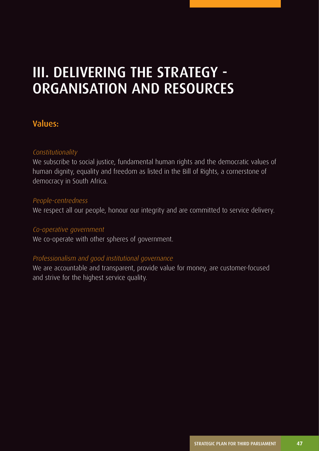# III. DELIVERING THE STRATEGY - ORGANISATION AND RESOURCES

# Values:

# Constitutionality

We subscribe to social justice, fundamental human rights and the democratic values of human dignity, equality and freedom as listed in the Bill of Rights, a cornerstone of democracy in South Africa.

# People-centredness

We respect all our people, honour our integrity and are committed to service delivery.

# Co-operative government

We co-operate with other spheres of government.

# Professionalism and good institutional governance

We are accountable and transparent, provide value for money, are customer-focused and strive for the highest service quality.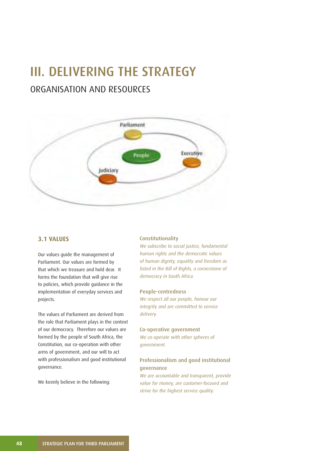# III. DELIVERING THE STRATEGY

# ORGANISATION AND RESOURCES



#### **3.1 VALUES**

Our values guide the management of Parliament. Our values are formed by that which we treasure and hold dear. It forms the foundation that will give rise to policies, which provide guidance in the implementation of everyday services and projects.

The values of Parliament are derived from the role that Parliament plays in the context of our democracy. Therefore our values are formed by the people of South Africa, the Constitution, our co-operation with other arms of government, and our will to act with professionalism and good institutional governance.

We keenly believe in the following:

#### Constitutionality

We subscribe to social justice, fundamental human rights and the democratic values of human dignity, equality and freedom as listed in the Bill of Rights, a cornerstone of democracy in South Africa.

#### People-centredness

We respect all our people, honour our integrity and are committed to service delivery.

#### Co-operative government

We co-operate with other spheres of government.

### Professionalism and good institutional governance

We are accountable and transparent, provide value for money, are customer-focused and strive for the highest service quality.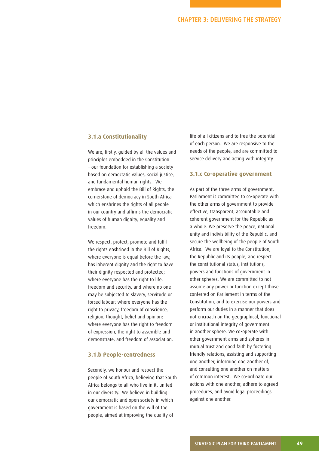#### **3.1.a Constitutionality**

We are, firstly, quided by all the values and principles embedded in the Constitution – our foundation for establishing a society based on democratic values, social justice, and fundamental human rights. We embrace and uphold the Bill of Rights, the cornerstone of democracy in South Africa which enshrines the rights of all people in our country and affirms the democratic values of human dignity, equality and freedom.

We respect, protect, promote and fulfil the rights enshrined in the Bill of Rights, where everyone is equal before the law, has inherent dignity and the right to have their dignity respected and protected; where everyone has the right to life, freedom and security, and where no one may be subjected to slavery, servitude or forced labour; where everyone has the right to privacy, freedom of conscience, religion, thought, belief and opinion; where everyone has the right to freedom of expression, the right to assemble and demonstrate, and freedom of association.

#### **3.1.b People-centredness**

Secondly, we honour and respect the people of South Africa, believing that South Africa belongs to all who live in it, united in our diversity. We believe in building our democratic and open society in which government is based on the will of the people, aimed at improving the quality of

life of all citizens and to free the potential of each person. We are responsive to the needs of the people, and are committed to service delivery and acting with integrity.

#### **3.1.c Co-operative government**

As part of the three arms of government, Parliament is committed to co-operate with the other arms of government to provide effective, transparent, accountable and coherent government for the Republic as a whole. We preserve the peace, national unity and indivisibility of the Republic, and secure the wellbeing of the people of South Africa. We are loyal to the Constitution, the Republic and its people, and respect the constitutional status, institutions, powers and functions of government in other spheres. We are committed to not assume any power or function except those conferred on Parliament in terms of the Constitution, and to exercise our powers and perform our duties in a manner that does not encroach on the geographical, functional or institutional integrity of government in another sphere. We co-operate with other government arms and spheres in mutual trust and good faith by fostering friendly relations, assisting and supporting one another, informing one another of, and consulting one another on matters of common interest. We co-ordinate our actions with one another, adhere to agreed procedures, and avoid legal proceedings against one another.

**49**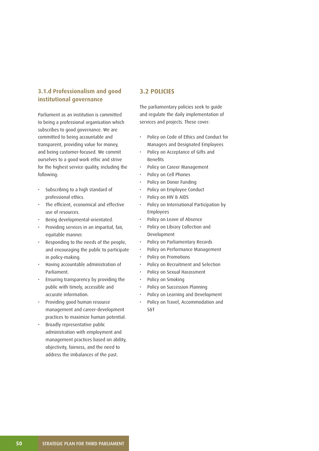# **3.1.d Professionalism and good institutional governance**

Parliament as an institution is committed to being a professional organisation which subscribes to good governance. We are committed to being accountable and transparent, providing value for money, and being customer-focused. We commit ourselves to a good work ethic and strive for the highest service quality, including the following:

- Subscribing to a high standard of professional ethics.
- The efficient, economical and effective use of resources.
- Being developmental-orientated.
- Providing services in an impartial, fair, equitable manner.
- Responding to the needs of the people, and encouraging the public to participate in policy-making.
- Having accountable administration of Parliament.
- Ensuring transparency by providing the public with timely, accessible and accurate information.
- Providing good human resource management and career-development practices to maximize human potential.
- Broadly representative public administration with employment and management practices based on ability, objectivity, fairness, and the need to address the imbalances of the past.

#### **3.2 POLICIES**

The parliamentary policies seek to guide and regulate the daily implementation of services and projects. These cover:

- Policy on Code of Ethics and Conduct for Managers and Designated Employees
- Policy on Acceptance of Gifts and **Benefits**
- Policy on Career Management
- Policy on Cell Phones
- Policy on Donor Funding
- Policy on Employee Conduct
- Policy on HIV & AIDS
- Policy on International Participation by Employees
- Policy on Leave of Absence
- Policy on Library Collection and Development
- Policy on Parliamentary Records
- Policy on Performance Management
- Policy on Promotions
- Policy on Recruitment and Selection
- Policy on Sexual Harassment
- Policy on Smoking
- Policy on Succession Planning
- Policy on Learning and Development
- Policy on Travel, Accommodation and S&T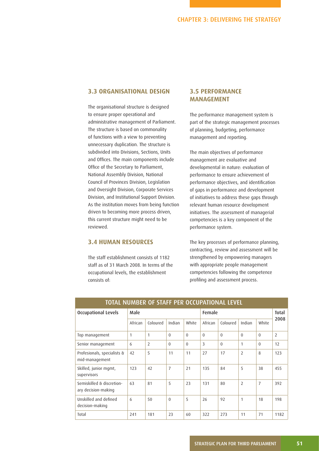#### **3.3 ORGANISATIONAL DESIGN**

The organisational structure is designed to ensure proper operational and administrative management of Parliament. The structure is based on commonality of functions with a view to preventing unnecessary duplication. The structure is subdivided into Divisions, Sections, Units and Offices. The main components include Office of the Secretary to Parliament, National Assembly Division, National Council of Provinces Division, Legislation and Oversight Division, Corporate Services Division, and Institutional Support Division. As the institution moves from being function driven to becoming more process driven, this current structure might need to be reviewed.

#### **3.4 HUMAN RESOURCES**

The staff establishment consists of 1182 staff as of 31 March 2008. In terms of the occupational levels, the establishment consists of:

## **3.5 PERFORMANCE MANAGEMENT**

The performance management system is part of the strategic management processes of planning, budgeting, performance management and reporting.

The main objectives of performance management are evaluative and developmental in nature: evaluation of performance to ensure achievement of performance objectives, and identification of gaps in performance and development of initiatives to address these gaps through relevant human resource development initiatives. The assessment of managerial competencies is a key component of the performance system.

The key processes of performance planning, contracting, review and assessment will be strengthened by empowering managers with appropriate people management competencies following the competence profiling and assessment process.

| <b>Occupational Levels</b>                       | Male         |                |                |          | Female   | <b>Total</b> |                |                |                |
|--------------------------------------------------|--------------|----------------|----------------|----------|----------|--------------|----------------|----------------|----------------|
|                                                  | African      | Coloured       | Indian         | White    | African  | Coloured     | Indian         | White          | 2008           |
| Top management                                   | $\mathbf{1}$ | 1              | $\theta$       | $\theta$ | $\theta$ | $\Omega$     | $\Omega$       | $\Omega$       | $\overline{2}$ |
| Senior management                                | 6            | $\overline{2}$ | $\mathbf{0}$   | $\Omega$ | 3        | $\Omega$     | 1              | $\Omega$       | 12             |
| Profesionals, specialists &<br>mid-management    | 42           | 5              | 11             | 11       | 27       | 17           | $\overline{2}$ | 8              | 123            |
| Skilled, junior mgmt,<br>supervisors             | 123          | 42             | $\overline{7}$ | 21       | 135      | 84           | 5              | 38             | 455            |
| Semiskilled & discretion-<br>ary decision-making | 63           | 81             | 5              | 23       | 131      | 80           | $\overline{2}$ | $\overline{7}$ | 392            |
| Unskilled and defined<br>decision-making         | 6            | 50             | $\theta$       | 5        | 26       | 92           | 1              | 18             | 198            |
| Total                                            | 241          | 181            | 23             | 60       | 322      | 273          | 11             | 71             | 1182           |

## TOTAL NUMBER OF STAFF PER OCCUPATIONAL LEVEL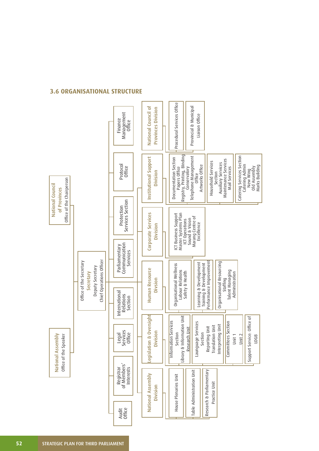

#### **3.6 ORGANISATIONAL STRUCTURE**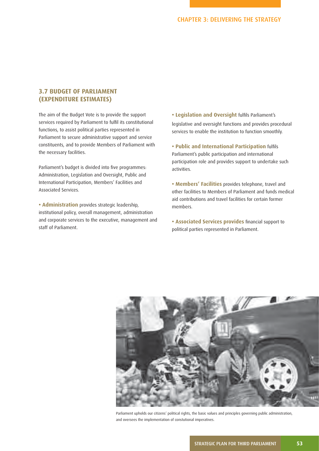# **3.7 BUDGET OF PARLIAMENT (EXPENDITURE ESTIMATES)**

The aim of the Budget Vote is to provide the support services required by Parliament to fulfil its constitutional functions, to assist political parties represented in Parliament to secure administrative support and service constituents, and to provide Members of Parliament with the necessary facilities.

Parliament's budget is divided into five programmes: Administration, Legislation and Oversight, Public and International Participation, Members' Facilities and Associated Services.

**• Administration** provides strategic leadership, institutional policy, overall management, administration and corporate services to the executive, management and staff of Parliament.

• Legislation and Oversight fulfils Parliament's legislative and oversight functions and provides procedural services to enable the institution to function smoothly.

**• Public and International Participation fulfils** Parliament's public participation and international participation role and provides support to undertake such activities.

**• Members' Facilities** provides telephone, travel and other facilities to Members of Parliament and funds medical aid contributions and travel facilities for certain former members.

• Associated Services provides financial support to political parties represented in Parliament.



Parliament upholds our citizens' political rights, the basic values and principles governing public administration, and oversees the implementation of constutional imperatives.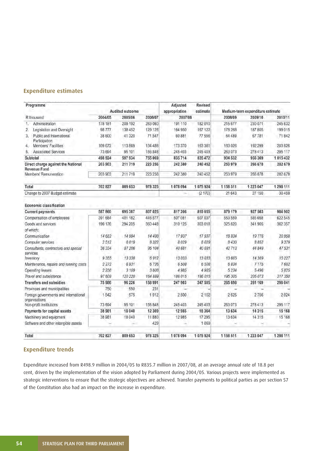#### **Expenditure estimates**

| Programme                                                 |              | <b>Audited outcome</b> |         | Adjusted<br>appropriation | Revised<br>estimate |           | Medium-term expenditure estimate |           |
|-----------------------------------------------------------|--------------|------------------------|---------|---------------------------|---------------------|-----------|----------------------------------|-----------|
| R thousand                                                | 2004/05      | 2005/06                | 2006/07 | 2007/08                   |                     | 2008/09   | 2009/10                          | 2010/11   |
| 1.<br>Administration                                      | 178 181      | 209 192                | 263 060 | 191 110                   | 182010              | 215 677   | 230 071                          | 245 632   |
| 2.<br>Legislation and Oversight                           | 98777        | 138 452                | 129 126 | 164 950                   | 167 122             | 178 268   | 187 805                          | 199 015   |
| 3.<br>Public and International<br>Participation           | 38 600       | 41 320                 | 71547   | 60 881                    | 77 556              | 64 489    | 67 781                           | 71842     |
| Members' Facilities<br>4.                                 | 109 672      | 113869                 | 134 488 | 173 370                   | 163 381             | 183 026   | 192 299                          | 203 826   |
| 5.<br><b>Associated Services</b>                          | 73 694       | 95 101                 | 156 848 | 245 403                   | 245 403             | 263 073   | 278413                           | 295 117   |
| Subtotal                                                  | 498 924      | 597 934                | 755 069 | 835714                    | 835 472             | 904 532   | 956 369                          | 1015432   |
| Direct charge against the National<br><b>Revenue Fund</b> | 203 903      | 211719                 | 223 256 | 242 380                   | 240 452             | 253 979   | 266 678                          | 282 679   |
| Members' Remuneration                                     | 203 903      | 211 719                | 223 256 | 242 380                   | 240 452             | 253 979   | 266 678                          | 282 679   |
| Total                                                     | 702 827      | 809 653                | 978 325 | 1078094                   | 1075924             | 1 158 511 | 1 223 047                        | 1 298 111 |
| Change to 2007 Budget estimate                            |              |                        |         | ÷.                        | (2170)              | 21 643    | 27 150                           | 30459     |
| Economic classification                                   |              |                        |         |                           |                     |           |                                  |           |
| <b>Current payments</b>                                   | 587 860      | 695 387                | 807 025 | 817 206                   | 810 055             | 879 179   | 927 563                          | 984 902   |
| Compensation of employees                                 | 391 684      | 401 182                | 446 577 | 507 081                   | 507 037             | 553 559   | 585 658                          | 622 545   |
| Goods and services                                        | 196 176<br>a | 294 205                | 360 448 | 310 125                   | 303 018             | 325 620   | 341 905                          | 362 357   |
| of which:                                                 |              |                        |         |                           |                     |           |                                  |           |
| Communication                                             | 14 682       | 14 994                 | 14 498  | 17937                     | 17937               | 18834     | 19776                            | 20 958    |
| Computer services                                         | 2512         | 6019                   | 8 3 2 2 | 8029                      | 8029                | 8430      | 8852                             | 9379      |
| Consultants, contractors and special<br>services          | 36 334       | 87 206                 | 95 104  | 40 681                    | 40 681              | 42713     | 44 849                           | 47 531    |
| Inventory                                                 | 9355         | 13 338                 | 6912    | 13033                     | 13 033              | 13 685    | 14 369                           | 15 227    |
| Maintenance, repairs and running costs                    | 2 2 7 2      | 6931                   | 6726    | 6 508                     | 6508                | 6834      | 7175                             | 7602      |
| Operating leases                                          | 2 2 5 6      | 3 109                  | 3 608   | 4985                      | 4985                | 5 2 3 4   | 5 4 9 6                          | 5825      |
| Travel and subsistence                                    | 97 609       | 120 220                | 164 889 | 186 015                   | 186 015             | 195 305   | 205 073                          | 217 350   |
| <b>Transfers and subsidies</b>                            | 75986        | 96 226                 | 158 991 | 247 903                   | 247 505             | 265 698   | 281 169                          | 298 041   |
| Provinces and municipalities                              | 750          | 550                    | 231     |                           |                     |           |                                  |           |
| Foreign governments and international                     | 1542         | 575                    | 1912    | 2500                      | 2 102               | 2625      | 2756                             | 2924      |
| organisations<br>Non-profit institutions                  | 73 694       | 95 101                 | 156 848 | 245 403                   | 245403              | 263 073   | 278 413                          | 295 117   |
| Payments for capital assets                               | 38 981       | 18 040                 | 12 309  | 12985                     | 18 364              | 13 634    | 14 3 15                          | 15 168    |
| Machinery and equipment                                   | 38 981       | 18 04 0                | 11880   | 12985                     | 17 29 5             | 13 634    | 14 315                           | 15 168    |
| Software and other intangible assets                      |              |                        | 429     |                           | 1069                |           |                                  |           |
| Total                                                     | 702 827      | 809 653                | 978 325 | 1078094                   | 1075924             | 1 158 511 | 1 223 047                        | 1 298 111 |

### **Expenditure trends**

Expenditure increased from R498.9 million in 2004/05 to R835.7 million in 2007/08, at an average annual rate of 18.8 per cent, driven by the implementation of the vision adopted by Parliament during 2004/05. Various projects were implemented as strategic interventions to ensure that the strategic objectives are achieved. Transfer payments to political parties as per section 57 of the Constitution also had an impact on the increase in expenditure.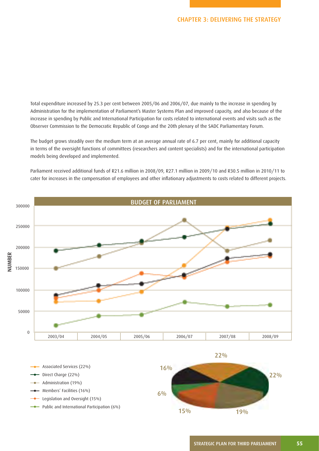Total expenditure increased by 25.3 per cent between 2005/06 and 2006/07, due mainly to the increase in spending by Administration for the implementation of Parliament's Master Systems Plan and improved capacity, and also because of the increase in spending by Public and International Participation for costs related to international events and visits such as the Observer Commission to the Democratic Republic of Congo and the 20th plenary of the SADC Parliamentary Forum.

The budget grows steadily over the medium term at an average annual rate of 6.7 per cent, mainly for additional capacity in terms of the oversight functions of committees (researchers and content specialists) and for the international participation models being developed and implemented.

Parliament received additional funds of R21.6 million in 2008/09, R27.1 million in 2009/10 and R30.5 million in 2010/11 to cater for increases in the compensation of employees and other inflationary adjustments to costs related to different projects.



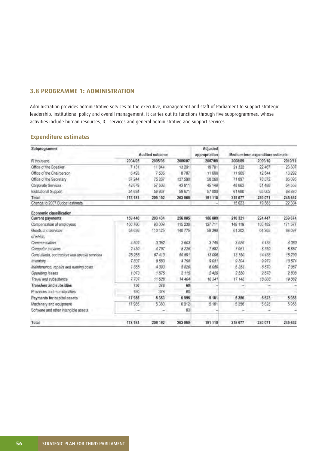## **3.8 PROGRAMME 1: ADMINISTRATION**

Administration provides administrative services to the executive, management and staff of Parliament to support strategic leadership, institutional policy and overall management. It carries out its functions through five subprogrammes, whose activities include human resources, ICT services and general administrative and support services.

| Subprogramme                                  |                        |         |         | Adjusted      |                                  |         |         |  |
|-----------------------------------------------|------------------------|---------|---------|---------------|----------------------------------|---------|---------|--|
|                                               | <b>Audited outcome</b> |         |         | appropriation | Medium-term expenditure estimate |         |         |  |
| R thousand                                    | 2004/05                | 2005/06 | 2006/07 | 2007/08       | 2008/09                          | 2009/10 | 2010/11 |  |
| Office of the Speaker                         | 7 131                  | 11844   | 13 201  | 19701         | 21 3 22                          | 22 467  | 23 807  |  |
| Office of the Chairperson                     | 6493                   | 7536    | 8787    | 11 000        | 11905                            | 12 544  | 13 29 2 |  |
| Office of the Secretary                       | 67 244                 | 75 267  | 137 590 | 58 260        | 71 897                           | 78572   | 85 095  |  |
| Corporate Services                            | 42 679                 | 57 608  | 43811   | 45 149        | 48 863                           | 51 488  | 54 558  |  |
| Institutional Support                         | 54 634                 | 56 937  | 59 671  | 57 000        | 61.690                           | 65 002  | 68 880  |  |
| Total                                         | 178 181                | 209 192 | 263 060 | 191 110       | 215 677                          | 230 071 | 245 632 |  |
| Change to 2007 Budget estimate                |                        |         |         |               | 15 0 23                          | 19 38 3 | 22 304  |  |
| Economic classification                       |                        |         |         |               |                                  |         |         |  |
| <b>Current payments</b>                       | 159 446                | 203 434 | 256 005 | 186 009       | 210 321                          | 224 447 | 239 674 |  |
| Compensation of employees                     | 100 760                | 93 009  | 115 230 | 127 711       | 149 119                          | 160 182 | 171577  |  |
| Goods and services                            | 58 686                 | 110 425 | 140 775 | 58 298        | 61 202                           | 64 265  | 68 097  |  |
| of which:                                     |                        |         |         |               |                                  |         |         |  |
| <b>Communication</b>                          | 4502                   | 3352    | 3603    | 3749          | 3936                             | 4 133   | 4 380   |  |
| Computer services                             | 2 459                  | 4 7 9 7 | 8 2 2 5 | 7582          | 7961                             | 8 3 5 9 | 8857    |  |
| Consultants, contractors and special services | 25 255                 | 57413   | 56 591  | 13 096        | 13 750                           | 14 438  | 15 299  |  |
| Inventory                                     | 7807                   | 9583    | 4798    | 9051          | 9.504                            | 9979    | 10574   |  |
| Maintenance, repairs and running costs.       | 7855                   | 4093    | 5820    | 6 0 5 0       | 6353                             | 6 670   | 7 067   |  |
| Operating leases                              | 1073                   | 1 675   | 2115    | 2 429         | 2.550                            | 2678    | 2838    |  |
| Travel and subsistence                        | 7707                   | 11 528  | 14 404  | 16 341        | 17 148                           | 18 008  | 19082   |  |
| Transfers and subsidies                       | 750                    | 378     | 60      |               |                                  |         |         |  |
| Provinces and municipalities                  | 750                    | 378     | 60      |               |                                  |         |         |  |
| Payments for capital assets                   | 17985                  | 5380    | 6995    | 5 101         | 5 3 5 6                          | 5623    | 5958    |  |
| Machinery and equipment                       | 17 985                 | 5 3 8 0 | 6912    | 5101          | 5 3 5 6                          | 5623    | 5958    |  |
| Software and other intangible assets.         |                        |         | 83      |               |                                  |         |         |  |
| Total                                         | 178 181                | 209 192 | 263 060 | 191 110       | 215 677                          | 230 071 | 245 632 |  |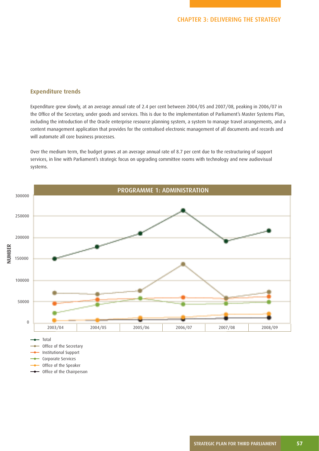Expenditure grew slowly, at an average annual rate of 2.4 per cent between 2004/05 and 2007/08, peaking in 2006/07 in the Office of the Secretary, under goods and services. This is due to the implementation of Parliament's Master Systems Plan, including the introduction of the Oracle enterprise resource planning system, a system to manage travel arrangements, and a content management application that provides for the centralised electronic management of all documents and records and will automate all core business processes.

Over the medium term, the budget grows at an average annual rate of 8.7 per cent due to the restructuring of support services, in line with Parliament's strategic focus on upgrading committee rooms with technology and new audiovisual systems.



Office of the Chairperson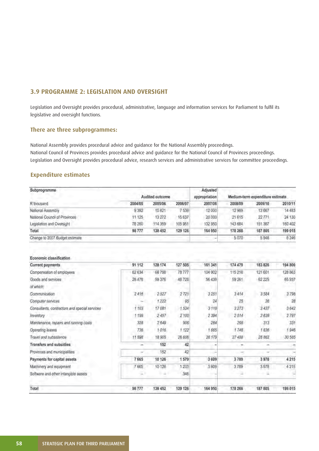#### **3.9 PROGRAMME 2: LEGISLATION AND OVERSIGHT**

Legislation and Oversight provides procedural, administrative, language and information services for Parliament to fulfil its legislative and oversight functions.

#### **There are three subprogrammes:**

National Assembly provides procedural advice and guidance for the National Assembly proceedings. National Council of Provinces provides procedural advice and guidance for the National Council of Provinces proceedings. Legislation and Oversight provides procedural advice, research services and administrative services for committee proceedings.

| Subprogramme                                  |         |                 |         | Adjusted      |                                  |         |         |  |
|-----------------------------------------------|---------|-----------------|---------|---------------|----------------------------------|---------|---------|--|
|                                               |         | Audited outcome |         | appropriation | Medium-term expenditure estimate |         |         |  |
| R thousand                                    | 2004/05 | 2005/06         | 2006/07 | 2007/08       | 2008/09                          | 2009/10 | 2010/11 |  |
| National Assembly                             | 9 3 9 2 | 10 821          | 7538    | 12 000        | 12 969                           | 13 667  | 14483   |  |
| National Council of Provinces                 | 11 125  | 13 27 2         | 15 637  | 20 000        | 21 615                           | 22.771  | 24 130  |  |
| Legislation and Oversight                     | 78 260  | 114 359         | 105 951 | 132 950       | 143 684                          | 151.367 | 160 402 |  |
| Total                                         | 98777   | 138 452         | 129 126 | 164 950       | 178 268                          | 187 805 | 199 015 |  |
| Change to 2007 Budget estimate                |         |                 |         |               | 5070                             | 5.948   | 6 246   |  |
| Economic classification                       |         |                 |         |               |                                  |         |         |  |
| <b>Current payments</b>                       | 91 112  | 128 174         | 127 505 | 161 341       | 174 479                          | 183 826 | 194 800 |  |
| Compensation of employees                     | 62 634  | 68798           | 78777   | 104 902       | 115 218                          | 121 601 | 128 863 |  |
| Goods and services                            | 28 478  | 59 376          | 48 7 28 | 56 439        | 59 261                           | 62 225  | 65937   |  |
| of which:                                     |         |                 |         |               |                                  |         |         |  |
| Communication                                 | 2416    | 2527            | 2721    | 3 251         | 3414                             | 3584    | 3798    |  |
| Computer services                             |         | 1 2 2 2         | 95      | 24            | 25                               | 26      | 28      |  |
| Consultants, contractors and special services | 1103    | 17081           | 1 534   | 3118          | 3273                             | 3 437   | 3642    |  |
| Inventory                                     | 1 199   | 2457            | 2100    | 2 394         | 2514                             | 2639    | 2797    |  |
| Maintenance, repairs and running costs        | 328     | 2649            | 906     | 284           | 298                              | 313     | 331     |  |
| Operating leases                              | 736     | 1016            | 1 122   | 1665          | 1748                             | 1836    | 1946    |  |
| Travel and subsistence                        | 11 598  | 18905           | 26 606  | 26 179        | 27 488                           | 28 862  | 30 585  |  |
| <b>Transfers and subsidies</b>                |         | 152             | 42      |               | -                                |         |         |  |
| Provinces and municipalities                  | ÷       | 152             | 42      |               |                                  |         |         |  |
| Payments for capital assets                   | 7665    | 10 126          | 1579    | 3609          | 3789                             | 3978    | 4215    |  |
| Machinery and equipment                       | 7 6 6 5 | 10 126          | 1233    | 3609          | 3.789                            | 3978    | 4215    |  |
| Software and other intangible assets          |         |                 | 346     |               |                                  |         |         |  |
| Total                                         | 98 777  | 138 452         | 129 126 | 164 950       | 178 268                          | 187 805 | 199 015 |  |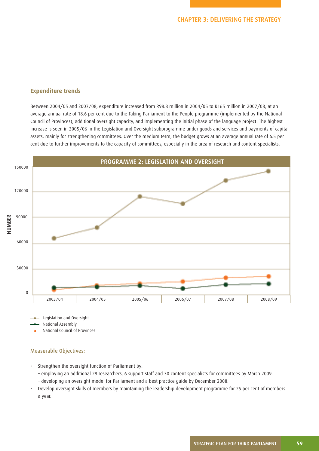Between 2004/05 and 2007/08, expenditure increased from R98.8 million in 2004/05 to R165 million in 2007/08, at an average annual rate of 18.6 per cent due to the Taking Parliament to the People programme (implemented by the National Council of Provinces), additional oversight capacity, and implementing the initial phase of the language project. The highest increase is seen in 2005/06 in the Legislation and Oversight subprogramme under goods and services and payments of capital assets, mainly for strengthening committees. Over the medium term, the budget grows at an average annual rate of 6.5 per cent due to further improvements to the capacity of committees, especially in the area of research and content specialists.



- Legislation and Oversight

National Assembly

National Council of Provinces

#### Measurable Objectives:

- Strengthen the oversight function of Parliament by:
	- employing an additional 29 researchers, 6 support staff and 30 content specialists for committees by March 2009. – developing an oversight model for Parliament and a best practice guide by December 2008.
- Develop oversight skills of members by maintaining the leadership development programme for 25 per cent of members a year.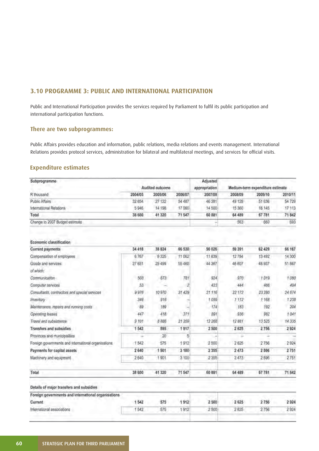# **3.10 PROGRAMME 3: PUBLIC AND INTERNATIONAL PARTICIPATION**

Public and International Participation provides the services required by Parliament to fulfil its public participation and international participation functions.

#### **There are two subprogrammes:**

Public Affairs provides education and information, public relations, media relations and events management. International Relations provides protocol services, administration for bilateral and multilateral meetings, and services for official visits.

| Subprogramme                                        | Audited outcome |          |         | Adjusted      |                                  |          |         |  |
|-----------------------------------------------------|-----------------|----------|---------|---------------|----------------------------------|----------|---------|--|
|                                                     |                 |          |         | appropriation | Medium-term expenditure estimate |          |         |  |
| R thousand                                          | 2004/05         | 2005/06  | 2006/07 | 2007/08       | 2008/09                          | 2009/10  | 2010/11 |  |
| Public Affairs                                      | 32 654          | 27 122   | 54 487  | 46 381        | 49 129                           | 51 636   | 54729   |  |
| International Relations                             | 5946            | 14 198   | 17 060  | 14 500        | 15 360                           | 16 145   | 17 113  |  |
| Total                                               | 38 600          | 41 320   | 71 547  | 60 881        | 64 489                           | 67 781   | 71842   |  |
| Change to 2007 Budget estimate                      |                 |          |         |               | 563                              | 660      | 693     |  |
| Economic classification                             |                 |          |         |               |                                  |          |         |  |
| Current payments                                    | 34 418          | 38 824   | 66 530  | 56 026        | 59 391                           | 62 429   | 66 167  |  |
| Compensation of employees                           | 6767            | 9325     | 11 062  | 11 639        | 12784                            | 13 4 9 2 | 14 300  |  |
| Goods and services                                  | 27 651          | 29 4 9 9 | 55 4 68 | 44 387        | 46 607                           | 48 937   | 51867   |  |
| of which:                                           |                 |          |         |               |                                  |          |         |  |
| Communication                                       | 503             | 673      | 781     | 924           | 970                              | 7019     | 1080    |  |
| Computer services                                   | 53              |          |         | 423           | 444                              | 466      | 494     |  |
| Consultants, contractors and special services       | 9976            | 10970    | 31 429  | 21 116        | 22 172                           | 23 280   | 24 674  |  |
| <i>Inventory</i>                                    | 349             | 916      |         | 1059          | 1112                             | / 168    | 1 2 3 8 |  |
| Maintenance, repairs and running costs              | 89              | 189      |         | 174           | 183                              | 192      | 204     |  |
| Operaling leases                                    | 447             | 418      | 371     | 891           | 936                              | 982      | 1041    |  |
| Travel and subsistence                              | 9 101           | 8 886    | 21 359  | 12 268        | 12881                            | 13 525   | 14 335  |  |
| <b>Transfers and subsidies</b>                      | 1542            | 595      | 1917    | 2500          | 2 6 2 5                          | 2756     | 2924    |  |
| Provinces and municipalities                        |                 | 20       | 5       |               |                                  |          |         |  |
| Foreign governments and international organisations | 1542            | 575      | 1912    | 2500          | 2 6 2 5                          | 2756     | 2924    |  |
| Payments for capital assets                         | 2640            | 1901     | 3 100   | 2 3 5 5       | 2473                             | 2596     | 2751    |  |
| Machinery and equipment                             | 2.640           | 1901     | 3 100   | 2 3 5 5       | 2473                             | 2596     | 2751    |  |
| Total                                               | 38 600          | 41 320   | 71 547  | 60 881        | 64 489                           | 67781    | 71842   |  |
| Details of major transfers and subsidies            |                 |          |         |               |                                  |          |         |  |
| Foreign governments and international organisations |                 |          |         |               |                                  |          |         |  |
| Current                                             | 1542            | 575      | 1912    | 2 500         | 2 6 2 5                          | 2756     | 2924    |  |
| International associations                          | 1542            | 575      | 1912    | 2500          | 2625                             | 2756     | 2924    |  |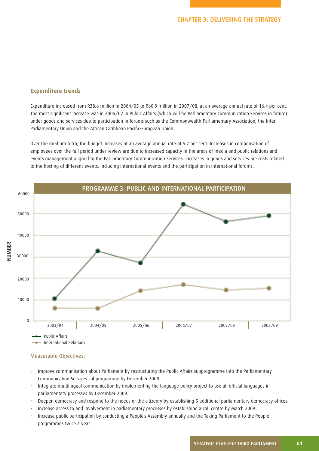Expenditure increased from R38.6 million in 2004/05 to R60.9 million in 2007/08, at an average annual rate of 16.4 per cent. The most significant increase was in 2006/07 in Public Affairs (which will be Parliamentary Communication Services in future) under goods and services due to participation in forums such as the Commonwealth Parliamentary Association, the Inter-Parliamentary Union and the African Caribbean Pacific-European Union.

Over the medium term, the budget increases at an average annual rate of 5.7 per cent. Increases in compensation of employees over the full period under review are due to increased capacity in the areas of media and public relations and events management aligned to the Parliamentary Communication Services. Increases in goods and services are costs related to the hosting of different events, including international events and the participation in international forums.



International Relations

#### Measurable Objectives:

- Improve communication about Parliament by restructuring the Public Affairs subprogramme into the Parliamentary Communication Services subprogramme by December 2008.
- Integrate multilingual communication by implementing the language policy project to use all official languages in parliamentary processes by December 2009.
- Deepen democracy and respond to the needs of the citizenry by establishing 5 additional parliamentary democracy offices.
- Increase access to and involvement in parliamentary processes by establishing a call centre by March 2009.
- Increase public participation by conducting a People's Assembly annually and the Taking Parliament to the People programmes twice a year.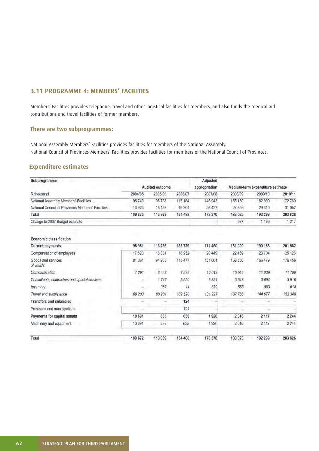# **3.11 PROGRAMME 4: MEMBERS' FACILITIES**

Members' Facilities provides telephone, travel and other logistical facilities for members, and also funds the medical aid contributions and travel facilities of former members.

#### **There are two subprogrammes:**

National Assembly Members' Facilities provides facilities for members of the National Assembly. National Council of Provinces Members' Facilities provides facilities for members of the National Council of Provinces.

| Subprogramme                                      |                        |         |         | Adjusted      |                                  |         |         |  |
|---------------------------------------------------|------------------------|---------|---------|---------------|----------------------------------|---------|---------|--|
|                                                   | <b>Audited outcome</b> |         |         | appropriation | Medium-term expenditure estimate |         |         |  |
| R thousand                                        | 2004/05                | 2005/06 | 2006/07 | 2007/08       | 2008/09                          | 2009/10 | 2010/11 |  |
| National Assembly Members' Facilities             | 95749                  | 98733   | 115 184 | 146943        | 155 130                          | 162 990 | 172769  |  |
| National Council of Provinces Members' Facilities | 13 923                 | 15 136  | 19 304  | 26 427        | 27 895                           | 29 310  | 31 057  |  |
| Total                                             | 109 672                | 113 869 | 134 488 | 173 370       | 183 025                          | 192 299 | 203 826 |  |
| Change to 2007 Budget estimate                    |                        |         |         |               | 987                              | 1 1 5 9 | 1217    |  |
| Economic classification                           |                        |         |         |               |                                  |         |         |  |
| <b>Current payments</b>                           | 98 981                 | 113 236 | 133 729 | 171 450       | 181 009                          | 190 183 | 201 582 |  |
| Compensation of employees                         | 17 620                 | 18 331  | 18 25 2 | 20 449        | 22459                            | 23704   | 25 126  |  |
| Goods and services<br>of which:                   | 81 361                 | 94 905  | 115477  | 151 001       | 158 550                          | 166 479 | 176 456 |  |
| Communication                                     | 7261                   | 8 4 4 2 | 7393    | 10013         | 10514                            | 11039   | 11700   |  |
| Consultants, contractors and special services     |                        | 1742    | 5 5 5 0 | 3 3 5 1       | 3518                             | 3 694   | 3916    |  |
| Inventory                                         |                        | 382     | 14      | 529           | 555                              | 583     | 618     |  |
| Travel and subsistence                            | 69 203                 | 80 901  | 102 520 | 131 227       | 137 788                          | 144 677 | 153 348 |  |
| <b>Transfers and subsidies</b>                    |                        |         | 124     |               |                                  |         |         |  |
| Provinces and municipalities                      |                        |         | 124     |               |                                  |         |         |  |
| Payments for capital assets                       | 10 691                 | 633     | 635     | 1920          | 2016                             | 2 1 1 7 | 2 2 4 4 |  |
| Machinery and equipment                           | 10 691                 | 633     | 635     | 1920          | 2016                             | 2117    | 2 2 4 4 |  |
| Total                                             | 109 672                | 113 869 | 134 488 | 173 370       | 183 025                          | 192 299 | 203 826 |  |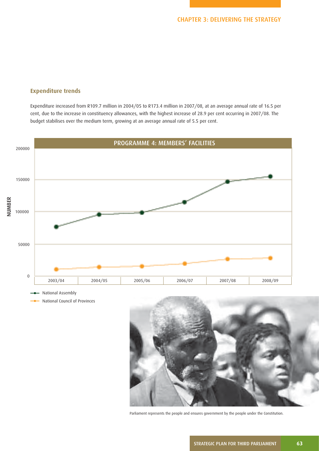National Council of Provinces

Expenditure increased from R109.7 million in 2004/05 to R173.4 million in 2007/08, at an average annual rate of 16.5 per cent, due to the increase in constituency allowances, with the highest increase of 28.9 per cent occurring in 2007/08. The budget stabilises over the medium term, growing at an average annual rate of 5.5 per cent.





Parliament represents the people and ensures government by the people under the Constitution.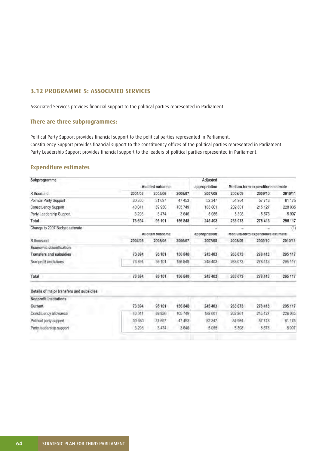# **3.12 PROGRAMME 5: ASSOCIATED SERVICES**

Associated Services provides financial support to the political parties represented in Parliament.

#### **There are three subprogrammes:**

Political Party Support provides financial support to the political parties represented in Parliament. Constituency Support provides financial support to the constituency offices of the political parties represented in Parliament. Party Leadership Support provides financial support to the leaders of political parties represented in Parliament.

| Subprogramme                             |         |                        |         | Adjusted                 |                                  |         |         |  |
|------------------------------------------|---------|------------------------|---------|--------------------------|----------------------------------|---------|---------|--|
|                                          |         | <b>Audited outcome</b> |         | appropriation<br>2007/08 | Medium-term expenditure estimate |         |         |  |
| R thousand                               | 2004/05 | 2005/06                | 2006/07 |                          | 2008/09                          | 2009/10 | 2010/11 |  |
| Political Party Support                  | 30 360  | 31 697                 | 47 453  | 52 347                   | 54 964                           | 57 713  | 61 175  |  |
| <b>Constituency Support</b>              | 40 041  | 59 930                 | 105 749 | 188 001                  | 202 801                          | 215 127 | 228 035 |  |
| Party Leadership Support                 | 3 2 9 3 | 3 4 7 4                | 3646    | 5 0 5 5                  | 5 3 0 8                          | 5573    | 5907    |  |
| Total                                    | 73 694  | 95 101                 | 156 848 | 245 403                  | 263 073                          | 278 413 | 295 117 |  |
| Change to 2007 Budget estimate           |         |                        |         |                          |                                  |         | (1)     |  |
|                                          |         | Audited outcome        |         | appropriation            | Medium-term expenditure estimate |         |         |  |
| R thousand                               | 2004/05 | 2005/06                | 2006/07 | 2007/08                  | 2008/09                          | 2009/10 | 2010/11 |  |
| Economic classification                  |         |                        |         |                          |                                  |         |         |  |
| <b>Transfers and subsidies</b>           | 73 694  | 95 101                 | 156 848 | 245 403                  | 263 073                          | 278 413 | 295 117 |  |
| Non-profit institutions                  | 73 694  | 95 101                 | 156 848 | 245 403                  | 263 073                          | 278 413 | 295 117 |  |
| Total                                    | 73 694  | 95 101                 | 156 848 | 245 403                  | 263 073                          | 278 413 | 295 117 |  |
| Details of major transfers and subsidies |         |                        |         |                          |                                  |         |         |  |
| Nonprofit institutions                   |         |                        |         |                          |                                  |         |         |  |
| Current                                  | 73 694  | 95 101                 | 156 848 | 245 403                  | 263 073                          | 278 413 | 295 117 |  |
| Constituency allowance                   | 40.041  | 59 930                 | 105 749 | 188 001                  | 202 801                          | 215 127 | 228 035 |  |
| Political party support                  | 30 360  | 31 697                 | 47 453  | 52 347                   | 54.964                           | 57713   | 61 175  |  |
| Party leadership support                 | 3 2 9 3 | 3474                   | 3646    | 5055                     | 5 3 0 8                          | 5573    | 5907    |  |
|                                          |         |                        |         |                          |                                  |         |         |  |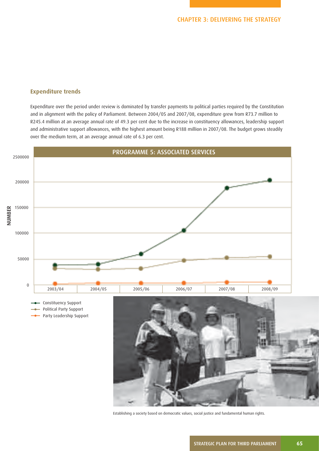Expenditure over the period under review is dominated by transfer payments to political parties required by the Constitution and in alignment with the policy of Parliament. Between 2004/05 and 2007/08, expenditure grew from R73.7 million to R245.4 million at an average annual rate of 49.3 per cent due to the increase in constituency allowances, leadership support and administrative support allowances, with the highest amount being R188 million in 2007/08. The budget grows steadily over the medium term, at an average annual rate of 6.3 per cent.



Establishing a society based on democratic values, social justice and fundamental human rights.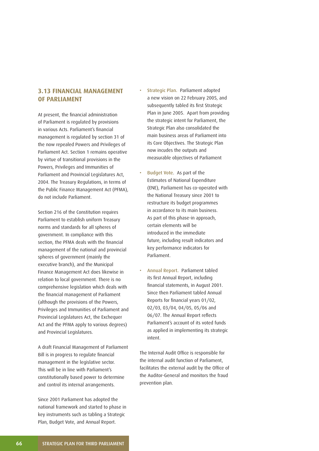## **3.13 FINANCIAL MANAGEMENT OF PARLIAMENT**

At present, the financial administration of Parliament is regulated by provisions in various Acts. Parliament's financial management is regulated by section 31 of the now repealed Powers and Privileges of Parliament Act. Section 1 remains operative by virtue of transitional provisions in the Powers, Privileges and Immunities of Parliament and Provincial Legislatures Act, 2004. The Treasury Regulations, in terms of the Public Finance Management Act (PFMA), do not include Parliament.

Section 216 of the Constitution requires Parliament to establish uniform Treasury norms and standards for all spheres of government. In compliance with this section, the PFMA deals with the financial management of the national and provincial spheres of government (mainly the executive branch), and the Municipal Finance Management Act does likewise in relation to local government. There is no comprehensive legislation which deals with the financial management of Parliament (although the provisions of the Powers, Privileges and Immunities of Parliament and Provincial Legislatures Act, the Exchequer Act and the PFMA apply to various degrees) and Provincial Legislatures.

A draft Financial Management of Parliament Bill is in progress to regulate financial management in the legislative sector. This will be in line with Parliament's constitutionally based power to determine and control its internal arrangements.

Since 2001 Parliament has adopted the national framework and started to phase in key instruments such as tabling a Strategic Plan, Budget Vote, and Annual Report.

- Strategic Plan. Parliament adopted a new vision on 22 February 2005, and subsequently tabled its first Strategic Plan in June 2005. Apart from providing the strategic intent for Parliament, the Strategic Plan also consolidated the main business areas of Parliament into its Core Objectives. The Strategic Plan now incudes the outputs and measurable objectives of Parliament
- Budget Vote. As part of the Estimates of National Expenditure (ENE), Parliament has co-operated with the National Treasury since 2001 to restructure its budget programmes in accordance to its main business. As part of this phase-in approach, certain elements will be introduced in the immediate future, including result indicators and key performance indicators for Parliament.
- Annual Report. Parliament tabled its first Annual Report, including financial statements, in August 2001. Since then Parliament tabled Annual Reports for financial years 01/02, 02/03, 03/04, 04/05, 05/06 and 06/07. The Annual Report reflects Parliament's account of its voted funds as applied in implementing its strategic intent.

The Internal Audit Office is responsible for the internal audit function of Parliament, facilitates the external audit by the Office of the Auditor-General and monitors the fraud prevention plan.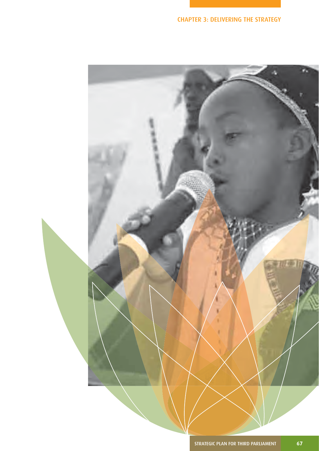# CHAPTER 3: DELIVERING THE STRATEGY